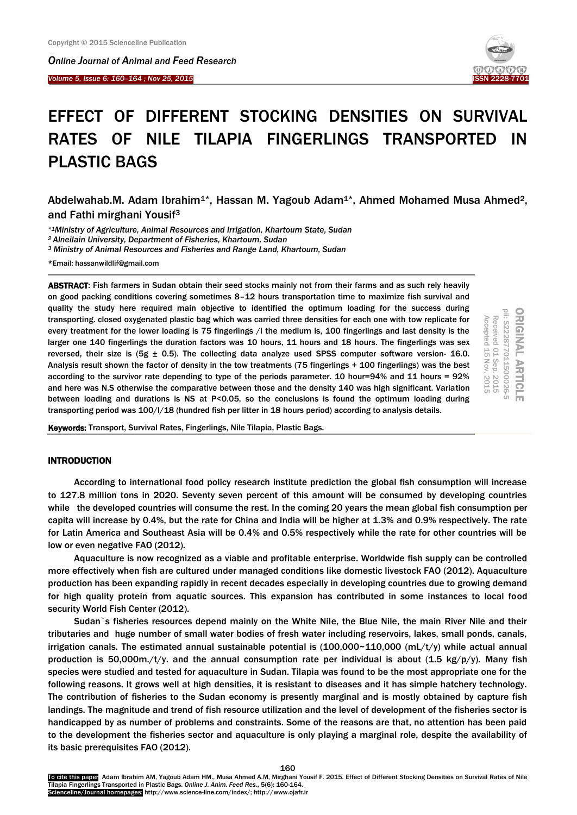*Online Journal of A[nimal and](http://www.ojafr.ir/main/) Feed Research*

*Volume 5, Issue 6: 160-164 ; Nov 25, 2015* I



# EFFECT OF DIFFERENT STOCKING DENSITIES ON SURVIVAL RATES OF NILE TILAPIA FINGERLINGS TRANSPORTED IN PLASTIC BAGS

Abdelwahab.M. Adam Ibrahim<sup>1\*</sup>, Hassan M. Yagoub Adam<sup>1\*</sup>, Ahmed Mohamed Musa Ahmed<sup>2</sup>, and Fathi mirghani Yousif<sup>3</sup>

*\*1Ministry of Agriculture, Animal Resources and Irrigation, Khartoum State, Sudan*

*<sup>2</sup> Alneilain University, Department of Fisheries, Khartoum, Sudan*

*<sup>3</sup> Ministry of Animal Resources and Fisheries and Range Land, Khartoum, Sudan*

\*Email: hassanwildlif@gmail.com

ABSTRACT: Fish farmers in Sudan obtain their seed stocks mainly not from their farms and as such rely heavily on good packing conditions covering sometimes 8–12 hours transportation time to maximize fish survival and quality the study here required main objective to identified the optimum loading for the success during transporting. closed oxygenated plastic bag which was carried three densities for each one with tow replicate for every treatment for the lower loading is 75 fingerlings /l the medium is, 100 fingerlings and last density is the larger one 140 fingerlings the duration factors was 10 hours, 11 hours and 18 hours. The fingerlings was sex reversed, their size is (5g  $\pm$  0.5). The collecting data analyze used SPSS computer software version- 16.0. Analysis result shown the factor of density in the tow treatments (75 fingerlings + 100 fingerlings) was the best according to the survivor rate depending to type of the periods parameter. 10 hour=94% and 11 hours = 92% and here was N.S otherwise the comparative between those and the density 140 was high significant. Variation between loading and durations is NS at P<0.05, so the conclusions is found the optimum loading during transporting period was 100/l/18 (hundred fish per litter in 18 hours period) according to analysis details.

ORIGINAL ARTICLE<br>pii: S222877011500026-5 Received 01 Sep. Accepted 15 Accepted Received 01 1 15 Nov Nov. 2015 Sep. 2015  $-2015$  $-2015$ 

Keywords: Transport, Survival Rates, Fingerlings, Nile Tilapia, Plastic Bags.

# INTRODUCTION

According to international food policy research institute prediction the global fish consumption will increase to 127.8 million tons in 2020. Seventy seven percent of this amount will be consumed by developing countries while the developed countries will consume the rest. In the coming 20 years the mean global fish consumption per capita will increase by 0.4%, but the rate for China and India will be higher at 1.3% and 0.9% respectively. The rate for Latin America and Southeast Asia will be 0.4% and 0.5% respectively while the rate for other countries will be low or even negative FAO (2012).

Aquaculture is now recognized as a viable and profitable enterprise. Worldwide fish supply can be controlled more effectively when fish are cultured under managed conditions like domestic livestock FAO (2012). Aquaculture production has been expanding rapidly in recent decades especially in developing countries due to growing demand for high quality protein from aquatic sources. This expansion has contributed in some instances to local food security World Fish Center (2012).

Sudan`s fisheries resources depend mainly on the White Nile, the Blue Nile, the main River Nile and their tributaries and huge number of small water bodies of fresh water including reservoirs, lakes, small ponds, canals, irrigation canals. The estimated annual sustainable potential is  $(100,000~110,000~(mL/t/y)$  while actual annual production is 50,000m./t/y. and the annual consumption rate per individual is about (1.5 kg/p/y). Many fish species were studied and tested for aquaculture in Sudan. Tilapia was found to be the most appropriate one for the following reasons. It grows well at high densities, it is resistant to diseases and it has simple hatchery technology. The contribution of fisheries to the Sudan economy is presently marginal and is mostly obtained by capture fish landings. The magnitude and trend of fish resource utilization and the level of development of the fisheries sector is handicapped by as number of problems and constraints. Some of the reasons are that, no attention has been paid to the development the fisheries sector and aquaculture is only playing a marginal role, despite the availability of its basic prerequisites FAO (2012).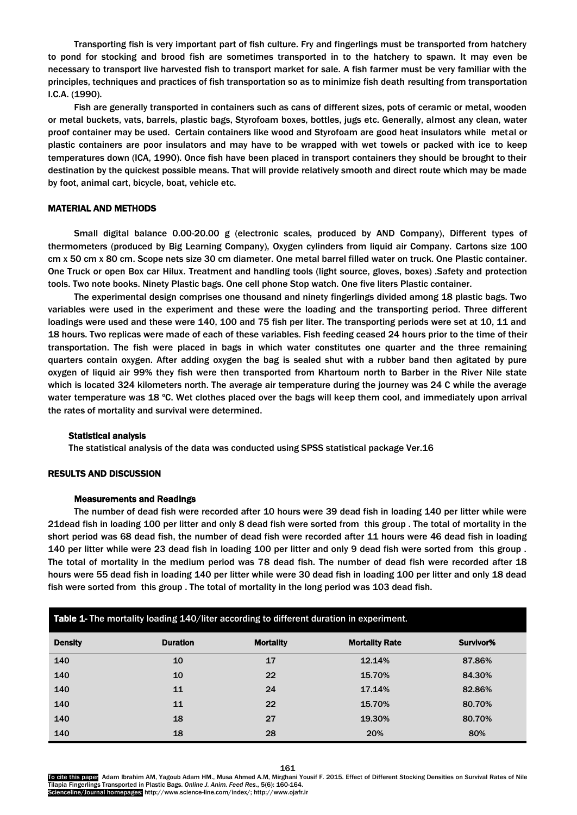Transporting fish is very important part of fish culture. Fry and fingerlings must be transported from hatchery to pond for stocking and brood fish are sometimes transported in to the hatchery to spawn. It may even be necessary to transport live harvested fish to transport market for sale. A fish farmer must be very familiar with the principles, techniques and practices of fish transportation so as to minimize fish death resulting from transportation I.C.A. (1990).

Fish are generally transported in containers such as cans of different sizes, pots of ceramic or metal, wooden or metal buckets, vats, barrels, plastic bags, Styrofoam boxes, bottles, jugs etc. Generally, almost any clean, water proof container may be used. Certain containers like wood and Styrofoam are good heat insulators while metal or plastic containers are poor insulators and may have to be wrapped with wet towels or packed with ice to keep temperatures down (ICA, 1990). Once fish have been placed in transport containers they should be brought to their destination by the quickest possible means. That will provide relatively smooth and direct route which may be made by foot, animal cart, bicycle, boat, vehicle etc.

# MATERIAL AND METHODS

Small digital balance 0.00-20.00 g (electronic scales, produced by AND Company), Different types of thermometers (produced by Big Learning Company), Oxygen cylinders from liquid air Company. Cartons size 100 cm x 50 cm x 80 cm. Scope nets size 30 cm diameter. One metal barrel filled water on truck. One Plastic container. One Truck or open Box car Hilux. Treatment and handling tools (light source, gloves, boxes) .Safety and protection tools. Two note books. Ninety Plastic bags. One cell phone Stop watch. One five liters Plastic container.

The experimental design comprises one thousand and ninety fingerlings divided among 18 plastic bags. Two variables were used in the experiment and these were the loading and the transporting period. Three different loadings were used and these were 140, 100 and 75 fish per liter. The transporting periods were set at 10, 11 and 18 hours. Two replicas were made of each of these variables. Fish feeding ceased 24 hours prior to the time of their transportation. The fish were placed in bags in which water constitutes one quarter and the three remaining quarters contain oxygen. After adding oxygen the bag is sealed shut with a rubber band then agitated by pure oxygen of liquid air 99% they fish were then transported from Khartoum north to Barber in the River Nile state which is located 324 kilometers north. The average air temperature during the journey was 24 C while the average water temperature was 18 °C. Wet clothes placed over the bags will keep them cool, and immediately upon arrival the rates of mortality and survival were determined.

#### Statistical analysis

The statistical analysis of the data was conducted using SPSS statistical package Ver.16

## RESULTS AND DISCUSSION

#### Measurements and Readings

The number of dead fish were recorded after 10 hours were 39 dead fish in loading 140 per litter while were 21dead fish in loading 100 per litter and only 8 dead fish were sorted from this group . The total of mortality in the short period was 68 dead fish, the number of dead fish were recorded after 11 hours were 46 dead fish in loading 140 per litter while were 23 dead fish in loading 100 per litter and only 9 dead fish were sorted from this group . The total of mortality in the medium period was 78 dead fish. The number of dead fish were recorded after 18 hours were 55 dead fish in loading 140 per litter while were 30 dead fish in loading 100 per litter and only 18 dead fish were sorted from this group . The total of mortality in the long period was 103 dead fish.

| Table 1- The mortality loading 140/liter according to different duration in experiment. |                 |                  |                       |           |
|-----------------------------------------------------------------------------------------|-----------------|------------------|-----------------------|-----------|
| <b>Density</b>                                                                          | <b>Duration</b> | <b>Mortality</b> | <b>Mortality Rate</b> | Survivor% |
| 140                                                                                     | 10              | 17               | 12.14%                | 87.86%    |
| 140                                                                                     | 10              | 22               | 15.70%                | 84.30%    |
| 140                                                                                     | 11              | 24               | 17.14%                | 82.86%    |
| 140                                                                                     | 11              | 22               | 15.70%                | 80.70%    |
| 140                                                                                     | 18              | 27               | 19.30%                | 80.70%    |
| 140                                                                                     | 18              | 28               | 20%                   | 80%       |

To cite this paper: Adam Ibrahim AM, Yagoub Adam HM., Musa Ahmed A.M, Mirghani Yousif F. 2015. Effect of Different Stocking Densities on Survival Rates of Nile Tilapia Fingerlings Transported in Plastic Bags. *Online J. Anim. Feed Res*., 5(6): 160-164. Scienceline/Journal homepages: http://www.science-line.com/index/; http://www.ojafr.ir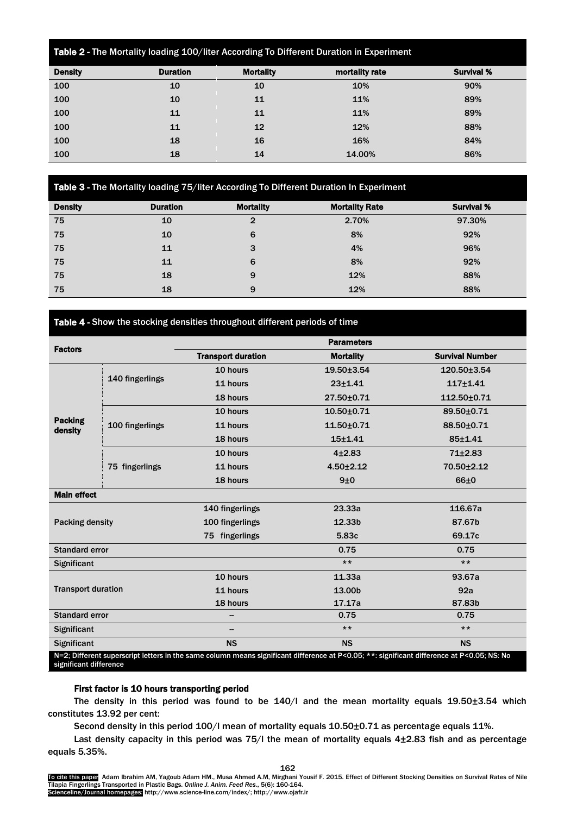| Table 2 - The Mortality loading 100/liter According To Different Duration in Experiment |                 |                  |                |                   |
|-----------------------------------------------------------------------------------------|-----------------|------------------|----------------|-------------------|
| <b>Density</b>                                                                          | <b>Duration</b> | <b>Mortality</b> | mortality rate | <b>Survival %</b> |
| 100                                                                                     | 10              | 10               | 10%            | 90%               |
| 100                                                                                     | 10              | 11               | 11%            | 89%               |
| 100                                                                                     | 11              | 11               | 11%            | 89%               |
| 100                                                                                     | 11              | 12               | 12%            | 88%               |
| 100                                                                                     | 18              | 16               | 16%            | 84%               |
| 100                                                                                     | 18              | 14               | 14.00%         | 86%               |

# Table 3 - The Mortality loading 75/liter According To Different Duration In Experiment

| <b>Density</b> | <b>Duration</b> | <b>Mortality</b> | <b>Mortality Rate</b> | <b>Survival %</b> |
|----------------|-----------------|------------------|-----------------------|-------------------|
| 75             | 10              | $\mathbf{2}$     | 2.70%                 | 97.30%            |
| 75             | 10              | 6                | 8%                    | 92%               |
| 75             | 11              | 3                | 4%                    | 96%               |
| 75             | 11              | 6                | 8%                    | 92%               |
| 75             | 18              | 9                | 12%                   | 88%               |
| 75             | 18              | 9                | 12%                   | 88%               |

Table 4 - Show the stocking densities throughout different periods of time

| <b>Factors</b>                                                                                                                                                       |                 |                           | <b>Parameters</b> |                        |
|----------------------------------------------------------------------------------------------------------------------------------------------------------------------|-----------------|---------------------------|-------------------|------------------------|
|                                                                                                                                                                      |                 | <b>Transport duration</b> | <b>Mortality</b>  | <b>Survival Number</b> |
|                                                                                                                                                                      |                 | 10 hours                  | 19.50±3.54        | 120.50±3.54            |
|                                                                                                                                                                      | 140 fingerlings | 11 hours                  | $23 + 1.41$       | $117 + 1.41$           |
|                                                                                                                                                                      |                 | 18 hours                  | 27.50±0.71        | 112.50±0.71            |
|                                                                                                                                                                      |                 | 10 hours                  | $10.50 + 0.71$    | 89.50±0.71             |
| <b>Packing</b><br>density                                                                                                                                            | 100 fingerlings | 11 hours                  | $11.50 + 0.71$    | 88.50±0.71             |
|                                                                                                                                                                      |                 | 18 hours                  | $15 + 1.41$       | $85 + 1.41$            |
|                                                                                                                                                                      | 75 fingerlings  | 10 hours                  | $4 + 2.83$        | $71 + 2.83$            |
|                                                                                                                                                                      |                 | 11 hours                  | $4.50 \pm 2.12$   | 70.50±2.12             |
|                                                                                                                                                                      |                 | 18 hours                  | 9±0               | 66±0                   |
| <b>Main effect</b>                                                                                                                                                   |                 |                           |                   |                        |
| Packing density                                                                                                                                                      |                 | 140 fingerlings           | 23.33a            | 116.67a                |
|                                                                                                                                                                      |                 | 100 fingerlings           | 12.33b            | 87.67b                 |
|                                                                                                                                                                      |                 | 75 fingerlings            | 5.83c             | 69.17c                 |
| <b>Standard error</b>                                                                                                                                                |                 |                           | 0.75              | 0.75                   |
| Significant                                                                                                                                                          |                 |                           | $***$             | $***$                  |
| <b>Transport duration</b>                                                                                                                                            |                 | 10 hours                  | 11.33a            | 93.67a                 |
|                                                                                                                                                                      |                 | 11 hours                  | 13.00b            | 92a                    |
|                                                                                                                                                                      |                 | 18 hours                  | 17.17a            | 87.83b                 |
| <b>Standard error</b>                                                                                                                                                |                 |                           | 0.75              | 0.75                   |
| <b>Significant</b>                                                                                                                                                   |                 | $\qquad \qquad$           | $***$             | $***$                  |
| Significant                                                                                                                                                          |                 | <b>NS</b>                 | <b>NS</b>         | <b>NS</b>              |
| N=2; Different superscript letters in the same column means significant difference at P<0.05; **: significant difference at P<0.05; NS: No<br>significant difference |                 |                           |                   |                        |

# First factor is 10 hours transporting period

The density in this period was found to be 140/l and the mean mortality equals 19.50±3.54 which constitutes 13.92 per cent:

Second density in this period 100/l mean of mortality equals 10.50±0.71 as percentage equals 11%.

Last density capacity in this period was 75/l the mean of mortality equals 4 $\pm$ 2.83 fish and as percentage equals 5.35%.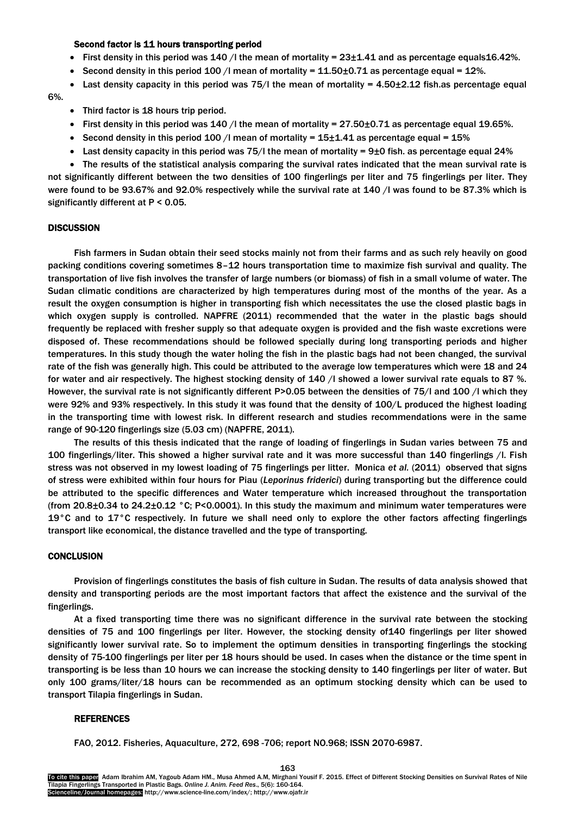## Second factor is 11 hours transporting period

- First density in this period was  $140$  /l the mean of mortality =  $23\pm1.41$  and as percentage equals  $16.42\%$ .
- Second density in this period 100 /l mean of mortality =  $11.50\pm0.71$  as percentage equal = 12%.
- East density capacity in this period was 75/l the mean of mortality =  $4.50\pm2.12$  fish.as percentage equal

6%.

- Third factor is 18 hours trip period.
- First density in this period was 140 /l the mean of mortality =  $27.50\pm0.71$  as percentage equal 19.65%.
- Second density in this period 100 /l mean of mortality =  $15\pm1.41$  as percentage equal =  $15\%$
- East density capacity in this period was 75/l the mean of mortality = 9 $\pm$ 0 fish. as percentage equal 24%

 The results of the statistical analysis comparing the survival rates indicated that the mean survival rate is not significantly different between the two densities of 100 fingerlings per liter and 75 fingerlings per liter. They were found to be 93.67% and 92.0% respectively while the survival rate at 140 /l was found to be 87.3% which is significantly different at P < 0.05.

# **DISCUSSION**

Fish farmers in Sudan obtain their seed stocks mainly not from their farms and as such rely heavily on good packing conditions covering sometimes 8–12 hours transportation time to maximize fish survival and quality. The transportation of live fish involves the transfer of large numbers (or biomass) of fish in a small volume of water. The Sudan climatic conditions are characterized by high temperatures during most of the months of the year. As a result the oxygen consumption is higher in transporting fish which necessitates the use the closed plastic bags in which oxygen supply is controlled. NAPFRE (2011) recommended that the water in the plastic bags should frequently be replaced with fresher supply so that adequate oxygen is provided and the fish waste excretions were disposed of. These recommendations should be followed specially during long transporting periods and higher temperatures. In this study though the water holing the fish in the plastic bags had not been changed, the survival rate of the fish was generally high. This could be attributed to the average low temperatures which were 18 and 24 for water and air respectively. The highest stocking density of 140 / showed a lower survival rate equals to 87 %. However, the survival rate is not significantly different P>0.05 between the densities of 75/l and 100 /l which they were 92% and 93% respectively. In this study it was found that the density of 100/L produced the highest loading in the transporting time with lowest risk. In different research and studies recommendations were in the same range of 90-120 fingerlings size (5.03 cm) (NAPFRE, 2011).

The results of this thesis indicated that the range of loading of fingerlings in Sudan varies between 75 and 100 fingerlings/liter. This showed a higher survival rate and it was more successful than 140 fingerlings /l. Fish stress was not observed in my lowest loading of 75 fingerlings per litter. Monica *et al.* (2011) observed that signs of stress were exhibited within four hours for Piau (*Leporinus friderici*) during transporting but the difference could be attributed to the specific differences and Water temperature which increased throughout the transportation (from 20.8 $\pm$ 0.34 to 24.2 $\pm$ 0.12 °C; P<0.0001). In this study the maximum and minimum water temperatures were 19 $\degree$ C and to 17 $\degree$ C respectively. In future we shall need only to explore the other factors affecting fingerlings transport like economical, the distance travelled and the type of transporting.

## **CONCLUSION**

Provision of fingerlings constitutes the basis of fish culture in Sudan. The results of data analysis showed that density and transporting periods are the most important factors that affect the existence and the survival of the fingerlings.

At a fixed transporting time there was no significant difference in the survival rate between the stocking densities of 75 and 100 fingerlings per liter. However, the stocking density of140 fingerlings per liter showed significantly lower survival rate. So to implement the optimum densities in transporting fingerlings the stocking density of 75-100 fingerlings per liter per 18 hours should be used. In cases when the distance or the time spent in transporting is be less than 10 hours we can increase the stocking density to 140 fingerlings per liter of water. But only 100 grams/liter/18 hours can be recommended as an optimum stocking density which can be used to transport Tilapia fingerlings in Sudan.

## REFERENCES

FAO, 2012. Fisheries, Aquaculture, 272, 698 -706; report NO.968; ISSN 2070-6987.